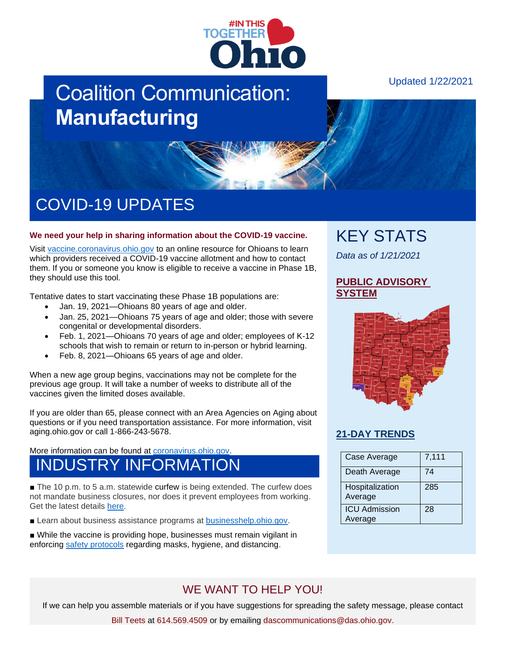

# Coalition Communication: **Manufacturing**

# COVID-19 UPDATES

#### **We need your help in sharing information about the COVID-19 vaccine.**

Visit [vaccine.coronavirus.ohio.gov](https://vaccine.coronavirus.ohio.gov/) to an online resource for Ohioans to learn which providers received a COVID-19 vaccine allotment and how to contact them. If you or someone you know is eligible to receive a vaccine in Phase 1B, they should use this tool.

Tentative dates to start vaccinating these Phase 1B populations are:

- Jan. 19, 2021—Ohioans 80 years of age and older.
- Jan. 25, 2021—Ohioans 75 years of age and older; those with severe congenital or developmental disorders.
- Feb. 1, 2021—Ohioans 70 years of age and older; employees of K-12 schools that wish to remain or return to in-person or hybrid learning.
- Feb. 8, 2021—Ohioans 65 years of age and older.

When a new age group begins, vaccinations may not be complete for the previous age group. It will take a number of weeks to distribute all of the vaccines given the limited doses available.

If you are older than 65, please connect with an Area Agencies on Aging about questions or if you need transportation assistance. For more information, visit aging.ohio.gov or call 1-866-243-5678.

More information can be found at [coronavirus.ohio.gov.](https://coronavirus.ohio.gov/wps/portal/gov/covid-19/covid-19-vaccination-program)

### INDUSTRY INFORMATION

■ The 10 p.m. to 5 a.m. statewide curfew is being extended. The curfew does not mandate business closures, nor does it prevent employees from working. Get the latest details [here.](https://coronavirus.ohio.gov/wps/portal/gov/covid-19/resources/general-resources/stay-at-home-tonight-fact-sheet)

■ Learn about business assistance programs at [businesshelp.ohio.gov.](https://businesshelp.ohio.gov/)

■ While the vaccine is providing hope, businesses must remain vigilant in enforcing [safety protocols](https://coronavirus.ohio.gov/static/responsible/Manufacturing-Distribution-Construction.pdf) regarding masks, hygiene, and distancing.

## KEY STATS

*Data as of 1/21/2021*

#### **[PUBLIC ADVISORY](https://coronavirus.ohio.gov/wps/portal/gov/covid-19/public-health-advisory-system)  [SYSTEM](https://coronavirus.ohio.gov/wps/portal/gov/covid-19/public-health-advisory-system)**



### **[21-DAY TRENDS](https://coronavirus.ohio.gov/wps/portal/gov/covid-19/dashboards/current-trends)**

| Case Average                    | 7,111 |
|---------------------------------|-------|
| Death Average                   | 74    |
| Hospitalization<br>Average      | 285   |
| <b>ICU Admission</b><br>Average | 28    |

### WE WANT TO HELP YOU!

If we can help you assemble materials or if you have suggestions for spreading the safety message, please contact

Bill Teets at 614.569.4509 or by emailing dascommunications@das.ohio.gov.

### Updated 1/22/2021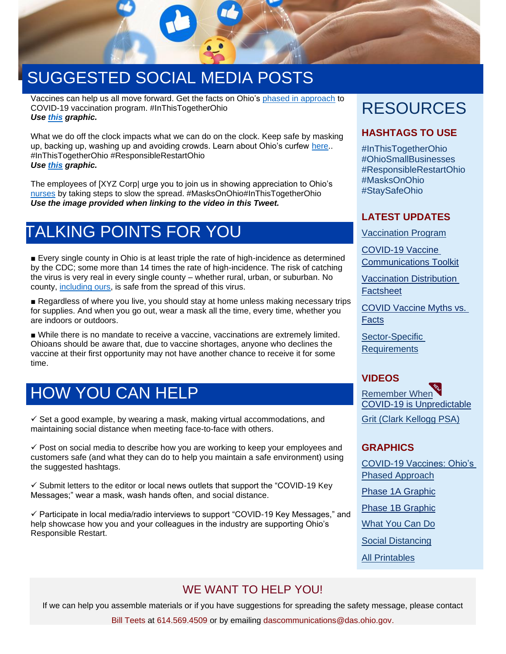

# SUGGESTED SOCIAL MEDIA POSTS

Vaccines can help us all move forward. Get the facts on Ohio's [phased in approach](https://coronavirus.ohio.gov/wps/portal/gov/covid-19/covid-19-vaccination-program/welcome/covid-19-vaccination-program) to COVID-19 vaccination program. #InThisTogetherOhio *Use [this](https://coronavirus.ohio.gov/static/vaccine/phased_approach_ohio.jpg) graphic.*

What we do off the clock impacts what we can do on the clock. Keep safe by masking up, backing up, washing up and avoiding crowds. Learn about Ohio's curfew [here.](https://coronavirus.ohio.gov/wps/portal/gov/covid-19/resources/general-resources/stay-at-home-tonight-fact-sheet). #InThisTogetherOhio #ResponsibleRestartOhio *Use [this](https://coronavirus.ohio.gov/wps/portal/gov/covid-19/resources/general-resources/social-distancing-infographics) graphic.*

The employees of [XYZ Corp| urge you to join us in showing appreciation to Ohio's [nurses](https://coronavirus.ohio.gov/wps/portal/gov/covid-19/resources/general-resources/social-distancing-infographics) by taking steps to slow the spread. #MasksOnOhio#InThisTogetherOhio *Use the image provided when linking to the video in this Tweet.*

### TALKING POINTS FOR YOU

■ Every single county in Ohio is at least triple the rate of high-incidence as determined by the CDC; some more than 14 times the rate of high-incidence. The risk of catching the virus is very real in every single county – whether rural, urban, or suburban. No county, [including ours,](https://coronavirus.ohio.gov/wps/portal/gov/covid-19/public-health-advisory-system) is safe from the spread of this virus.

■ Regardless of where you live, you should stay at home unless making necessary trips for supplies. And when you go out, wear a mask all the time, every time, whether you are indoors or outdoors.

■ While there is no mandate to receive a vaccine, vaccinations are extremely limited. Ohioans should be aware that, due to vaccine shortages, anyone who declines the vaccine at their first opportunity may not have another chance to receive it for some time.

### HOW YOU CAN HELP

 $\checkmark$  Set a good example, by wearing a mask, making virtual accommodations, and maintaining social distance when meeting face-to-face with others.

 $\checkmark$  Post on social media to describe how you are working to keep your employees and customers safe (and what they can do to help you maintain a safe environment) using the suggested hashtags.

 $\checkmark$  Submit letters to the editor or local news outlets that support the "COVID-19 Key" Messages;" wear a mask, wash hands often, and social distance.

✓ Participate in local media/radio interviews to support "COVID-19 Key Messages," and help showcase how you and your colleagues in the industry are supporting Ohio's Responsible Restart.

# RESOURCES

### **HASHTAGS TO USE**

#InThisTogetherOhio #OhioSmallBusinesses #ResponsibleRestartOhio #MasksOnOhio #StaySafeOhio

#### **LATEST UPDATES**

[Vaccination Program](https://coronavirus.ohio.gov/wps/portal/gov/covid-19/covid-19-vaccination-program/welcome/covid-19-vaccination-program)

[COVID-19 Vaccine](https://odh.ohio.gov/static/covid19/vaccine-providers/communications_toolkit.pdf)  [Communications Toolkit](https://odh.ohio.gov/static/covid19/vaccine-providers/communications_toolkit.pdf)

[Vaccination Distribution](https://coronavirus.ohio.gov/static/vaccine/general_fact_sheet.pdf)  **[Factsheet](https://coronavirus.ohio.gov/static/vaccine/general_fact_sheet.pdf)** 

[COVID Vaccine Myths vs.](https://coronavirus.ohio.gov/wps/portal/gov/covid-19/covid-19-vaccination-program/19-vaccine-myths-vs-facts/covid-19-vaccine-myths-vs-facts)  **[Facts](https://coronavirus.ohio.gov/wps/portal/gov/covid-19/covid-19-vaccination-program/19-vaccine-myths-vs-facts/covid-19-vaccine-myths-vs-facts)** 

[Sector-Specific](https://coronavirus.ohio.gov/wps/portal/gov/covid-19/responsible-restart-ohio/Sector-Specific-Operating-Requirements)  **[Requirements](https://coronavirus.ohio.gov/wps/portal/gov/covid-19/responsible-restart-ohio/Sector-Specific-Operating-Requirements)** 

### **VIDEOS**

[Remember When](https://youtu.be/p0-MgPCQFhk) [COVID-19 is Unpredictable](https://www.youtube.com/watch?v=UzpfJVykCz0) [Grit \(Clark Kellogg PSA\)](https://youtu.be/4uSIRNHvJT0)

### **GRAPHICS**

[COVID-19 Vaccines: Ohio's](https://coronavirus.ohio.gov/static/vaccine/phased_approach_ohio.jpg)  [Phased Approach](https://coronavirus.ohio.gov/static/vaccine/phased_approach_ohio.jpg)

[Phase 1A Graphic](https://odh.ohio.gov/static/covid19/vaccine-providers/phase-1-vaccine.jpg)

[Phase 1B Graphic](https://coronavirus.ohio.gov/static/vaccine/phase-1b-vaccine-twitter.jpg)

[What You Can Do](https://coronavirus.ohio.gov/static/responsible/signs/what-you-can-do-graphic-twitter.pdf)

[Social Distancing](https://coronavirus.ohio.gov/wps/portal/gov/covid-19/resources/general-resources/social-distancing-infographics)

[All Printables](https://coronavirus.ohio.gov/wps/portal/gov/covid-19/responsible-restart-ohio/Posters-and-Signs/Posters-and-Signs)

### WE WANT TO HELP YOU!

If we can help you assemble materials or if you have suggestions for spreading the safety message, please contact

Bill Teets at 614.569.4509 or by emailing dascommunications@das.ohio.gov.